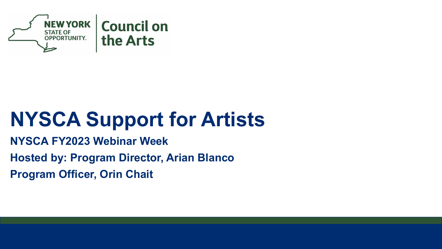

# **NYSCA Support for Artists**

**NYSCA FY2023 Webinar Week**

**Hosted by: Program Director, Arian Blanco**

**Program Officer, Orin Chait**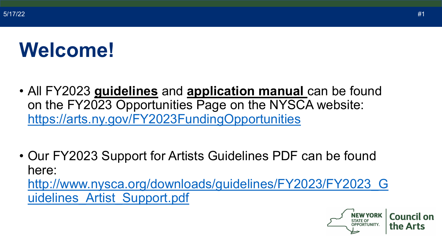### **Welcome!**

- All FY2023 **guidelines** and **application manual** can be found on the FY2023 Opportunities Page on the NYSCA website: <https://arts.ny.gov/FY2023FundingOpportunities>
- Our FY2023 Support for Artists Guidelines PDF can be found here:

[http://www.nysca.org/downloads/guidelines/FY2023/FY2023\\_G](http://www.nysca.org/downloads/guidelines/FY2023/FY2023_Guidelines_Artist_Support.pdf) uidelines\_Artist\_Support.pdf

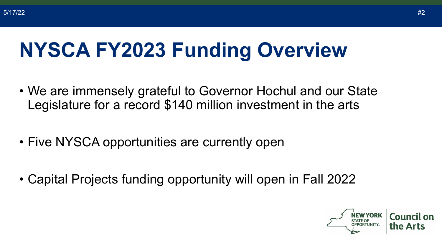# **NYSCA FY2023 Funding Overview**

- We are immensely grateful to Governor Hochul and our State Legislature for a record \$140 million investment in the arts
- Five NYSCA opportunities are currently open
- Capital Projects funding opportunity will open in Fall 2022

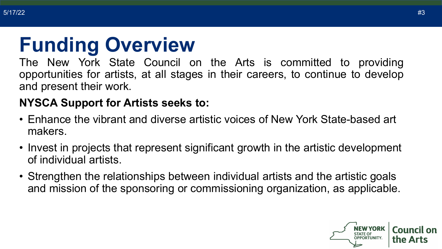# **Funding Overview**

The New York State Council on the Arts is committed to providing opportunities for artists, at all stages in their careers, to continue to develop and present their work.

#### **NYSCA Support for Artists seeks to:**

- Enhance the vibrant and diverse artistic voices of New York State-based art makers.
- Invest in projects that represent significant growth in the artistic development of individual artists.
- Strengthen the relationships between individual artists and the artistic goals and mission of the sponsoring or commissioning organization, as applicable.

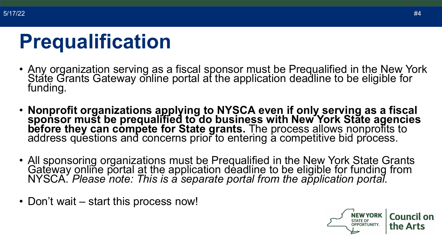### **Prequalification**

- Any organization serving as a fiscal sponsor must be Prequalified in the New York State Grants Gateway online portal at the application deadline to be eligible for funding.
- **Nonprofit organizations applying to NYSCA even if only serving as a fiscal sponsor must be prequalified to do business with New York State agencies before they can compete for State grants.** The process allows nonprofits to address questions and concerns prior to entering a competitive bid process.
- All sponsoring organizations must be Prequalified in the New York State Grants Gateway online portal at the application deadline to be eligible for funding from NYSCA. *Please note: This is a separate portal from the application portal.*
- Don't wait start this process now!

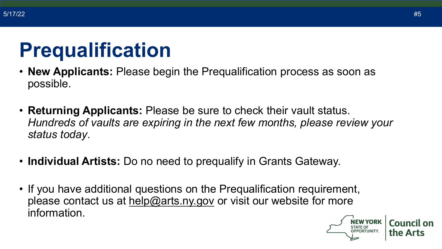## **Prequalification**

- **New Applicants:** Please begin the Prequalification process as soon as possible.
- **Returning Applicants:** Please be sure to check their vault status. *Hundreds of vaults are expiring in the next few months, please review your status today*.
- **Individual Artists:** Do no need to prequalify in Grants Gateway.
- If you have additional questions on the Prequalification requirement, please contact us at [help@arts.ny.gov](mailto:help@arts.ny.gov) or visit our website for more information.

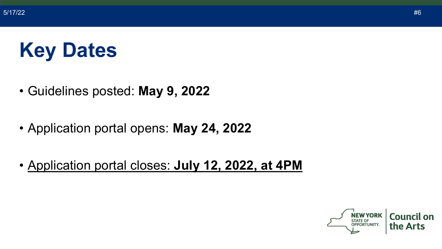# **Key Dates**

- Guidelines posted: **May 9, 2022**
- Application portal opens: **May 24, 2022**
- Application portal closes: **July 12, 2022, at 4PM**

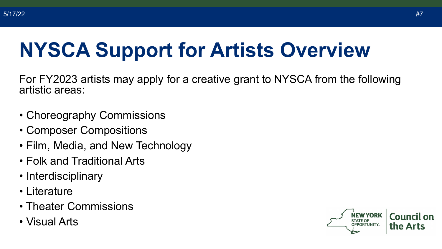# **NYSCA Support for Artists Overview**

For FY2023 artists may apply for a creative grant to NYSCA from the following artistic areas:

- Choreography Commissions
- Composer Compositions
- Film, Media, and New Technology
- Folk and Traditional Arts
- Interdisciplinary
- Literature
- Theater Commissions
- Visual Arts

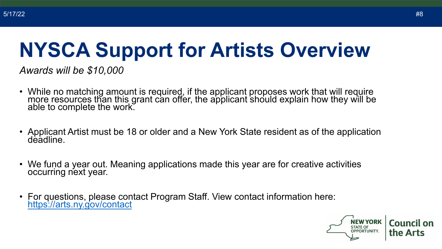# **NYSCA Support for Artists Overview**

*Awards will be \$10,000*

- While no matching amount is required, if the applicant proposes work that will require more resources than this grant can offer, the applicant should explain how they will be able to complete the work.
- Applicant Artist must be 18 or older and a New York State resident as of the application deadline.
- We fund a year out. Meaning applications made this year are for creative activities occurring next year.
- For questions, please contact Program Staff. View contact information here: <https://arts.ny.gov/contact>

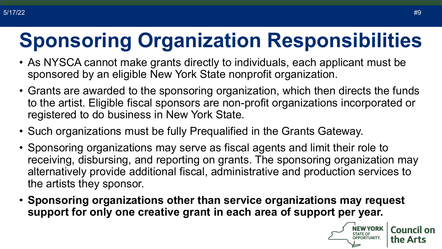# **Sponsoring Organization Responsibilities**

- As NYSCA cannot make grants directly to individuals, each applicant must be sponsored by an eligible New York State nonprofit organization.
- Grants are awarded to the sponsoring organization, which then directs the funds to the artist. Eligible fiscal sponsors are non-profit organizations incorporated or registered to do business in New York State.
- Such organizations must be fully Prequalified in the Grants Gateway.
- Sponsoring organizations may serve as fiscal agents and limit their role to receiving, disbursing, and reporting on grants. The sponsoring organization may alternatively provide additional fiscal, administrative and production services to the artists they sponsor.
- **Sponsoring organizations other than service organizations may request support for only one creative grant in each area of support per year.**



**Council on** 

the Arts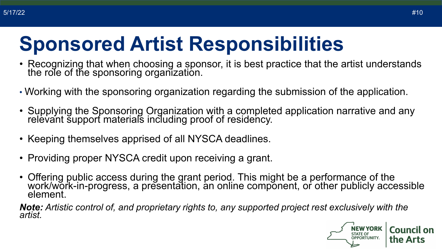## **Sponsored Artist Responsibilities**

- Recognizing that when choosing a sponsor, it is best practice that the artist understands the role of the sponsoring organization.
- Working with the sponsoring organization regarding the submission of the application.
- Supplying the Sponsoring Organization with a completed application narrative and any relevant support materials including proof of residency.
- Keeping themselves apprised of all NYSCA deadlines.
- Providing proper NYSCA credit upon receiving a grant.
- Offering public access during the grant period. This might be a performance of the work/work-in-progress, a presentation, an online component, or other publicly accessible<br>element.

*Note: Artistic control of, and proprietary rights to, any supported project rest exclusively with the artist.*

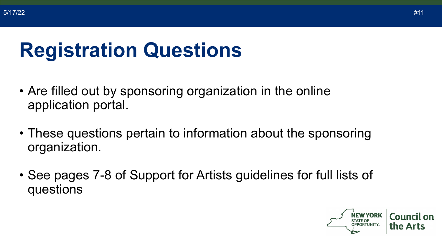# **Registration Questions**

- Are filled out by sponsoring organization in the online application portal.
- These questions pertain to information about the sponsoring organization.
- See pages 7-8 of Support for Artists guidelines for full lists of questions

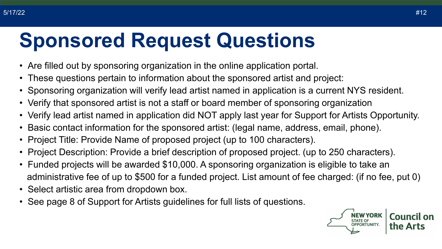### **Sponsored Request Questions**

- Are filled out by sponsoring organization in the online application portal.
- These questions pertain to information about the sponsored artist and project:
- Sponsoring organization will verify lead artist named in application is a current NYS resident.
- Verify that sponsored artist is not a staff or board member of sponsoring organization
- Verify lead artist named in application did NOT apply last year for Support for Artists Opportunity.
- Basic contact information for the sponsored artist: (legal name, address, email, phone).
- Project Title: Provide Name of proposed project (up to 100 characters).
- Project Description: Provide a brief description of proposed project. (up to 250 characters).
- Funded projects will be awarded \$10,000. A sponsoring organization is eligible to take an administrative fee of up to \$500 for a funded project. List amount of fee charged: (if no fee, put 0)
- Select artistic area from dropdown box.
- See page 8 of Support for Artists guidelines for full lists of questions.

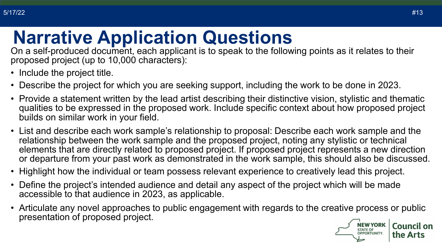### **Narrative Application Questions**

On a self-produced document, each applicant is to speak to the following points as it relates to their proposed project (up to 10,000 characters):

- Include the project title.
- Describe the project for which you are seeking support, including the work to be done in 2023.
- Provide a statement written by the lead artist describing their distinctive vision, stylistic and thematic qualities to be expressed in the proposed work. Include specific context about how proposed project builds on similar work in your field.
- List and describe each work sample's relationship to proposal: Describe each work sample and the relationship between the work sample and the proposed project, noting any stylistic or technical elements that are directly related to proposed project. If proposed project represents a new direction or departure from your past work as demonstrated in the work sample, this should also be discussed.
- Highlight how the individual or team possess relevant experience to creatively lead this project.
- Define the project's intended audience and detail any aspect of the project which will be made accessible to that audience in 2023, as applicable.
- Articulate any novel approaches to public engagement with regards to the creative process or public presentation of proposed project.

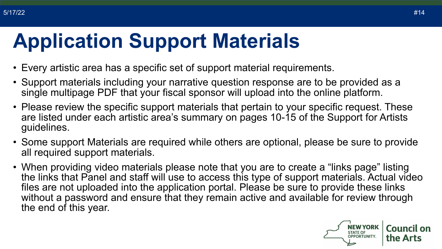## **Application Support Materials**

- Every artistic area has a specific set of support material requirements.
- Support materials including your narrative question response are to be provided as a single multipage PDF that your fiscal sponsor will upload into the online platform.
- Please review the specific support materials that pertain to your specific request. These are listed under each artistic area's summary on pages 10-15 of the Support for Artists guidelines.
- Some support Materials are required while others are optional, please be sure to provide all required support materials.
- When providing video materials please note that you are to create a "links page" listing the links that Panel and staff will use to access this type of support materials. Actual video files are not uploaded into the application portal. Please be sure to provide these links without a password and ensure that they remain active and available for review through the end of this year.

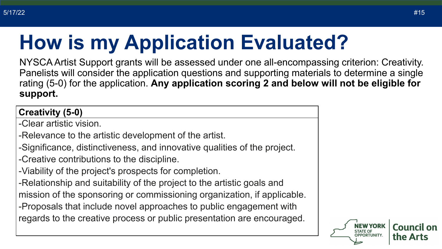# **How is my Application Evaluated?**

NYSCA Artist Support grants will be assessed under one all-encompassing criterion: Creativity. Panelists will consider the application questions and supporting materials to determine a single rating (5-0) for the application. **Any application scoring 2 and below will not be eligible for support.**

#### **Creativity (5-0)**

-Clear artistic vision.

- -Relevance to the artistic development of the artist.
- -Significance, distinctiveness, and innovative qualities of the project.
- -Creative contributions to the discipline.
- -Viability of the project's prospects for completion.

-Relationship and suitability of the project to the artistic goals and mission of the sponsoring or commissioning organization, if applicable. -Proposals that include novel approaches to public engagement with regards to the creative process or public presentation are encouraged.



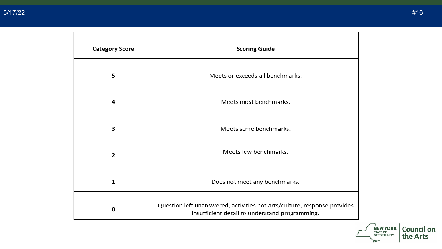| <b>Category Score</b> | <b>Scoring Guide</b>                                                                                                       |
|-----------------------|----------------------------------------------------------------------------------------------------------------------------|
| 5                     | Meets or exceeds all benchmarks.                                                                                           |
| 4                     | Meets most benchmarks.                                                                                                     |
| 3                     | Meets some benchmarks.                                                                                                     |
| $\overline{2}$        | Meets few benchmarks.                                                                                                      |
| 1                     | Does not meet any benchmarks.                                                                                              |
| O                     | Question left unanswered, activities not arts/culture, response provides<br>insufficient detail to understand programming. |

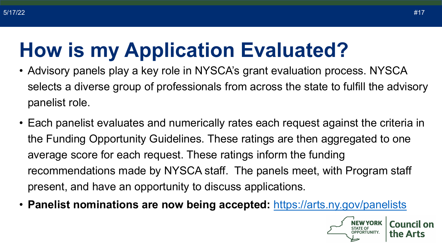# **How is my Application Evaluated?**

- Advisory panels play a key role in NYSCA's grant evaluation process. NYSCA selects a diverse group of professionals from across the state to fulfill the advisory panelist role.
- Each panelist evaluates and numerically rates each request against the criteria in the Funding Opportunity Guidelines. These ratings are then aggregated to one average score for each request. These ratings inform the funding recommendations made by NYSCA staff. The panels meet, with Program staff present, and have an opportunity to discuss applications.
- **Panelist nominations are now being accepted:** [https://arts.ny.gov/panelists](https://gcc02.safelinks.protection.outlook.com/?url=https%3A%2F%2Farts.ny.gov%2Fpanelists&data=05%7C01%7CArian.Blanco%40arts.ny.gov%7Cd3500afa9c644e085ce208da31d6559a%7Cf46cb8ea79004d108ceb80e8c1c81ee7%7C0%7C0%7C637877093865752880%7CUnknown%7CTWFpbGZsb3d8eyJWIjoiMC4wLjAwMDAiLCJQIjoiV2luMzIiLCJBTiI6Ik1haWwiLCJXVCI6Mn0%3D%7C3000%7C%7C%7C&sdata=p0gYJEH%2BrG%2BuFkOkkqZM5VzsDGazW0%2BvIOGedeKeH68%3D&reserved=0)

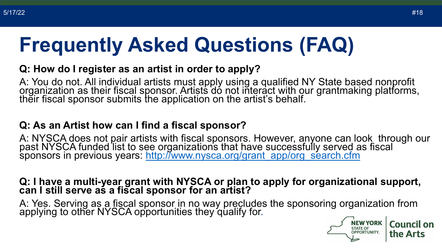# **Frequently Asked Questions (FAQ)**

#### **Q: How do I register as an artist in order to apply?**

A: You do not. All individual artists must apply using a qualified NY State based nonprofit organization as their fiscal sponsor. Artists do not interact with our grantmaking platforms, their fiscal sponsor submits the application on the artist's behalf.

#### **Q: As an Artist how can I find a fiscal sponsor?**

A: NYSCA does not pair artists with fiscal sponsors. However, anyone can look, through our past NYSCA funded list to see organizations that have successfully served as fiscal sponsors in previous years: <u>http://www.nysca.org/grant\_app/org\_search.cfm</u>

### **Q: I have a multi-year grant with NYSCA or plan to apply for organizational support, can I still serve as a fiscal sponsor for an artist?**

A: Yes. Serving as a fiscal sponsor in no way precludes the sponsoring organization from applying to other NYSCA opportunities they qualify for.

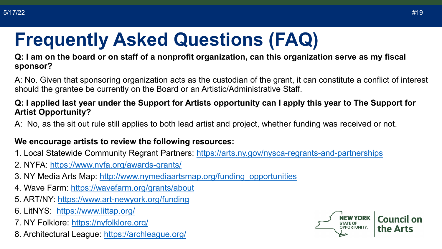### **Frequently Asked Questions (FAQ)**

**Q: I am on the board or on staff of a nonprofit organization, can this organization serve as my fiscal sponsor?** 

A: No. Given that sponsoring organization acts as the custodian of the grant, it can constitute a conflict of interest should the grantee be currently on the Board or an Artistic/Administrative Staff.

#### **Q: I applied last year under the Support for Artists opportunity can I apply this year to The Support for Artist Opportunity?**

A: No, as the sit out rule still applies to both lead artist and project, whether funding was received or not.

#### **We encourage artists to review the following resources:**

- 1. Local Statewide Community Regrant Partners: <https://arts.ny.gov/nysca-regrants-and-partnerships>
- 2. NYFA: <https://www.nyfa.org/awards-grants/>
- 3. NY Media Arts Map: [http://www.nymediaartsmap.org/funding\\_opportunities](http://www.nymediaartsmap.org/funding_opportunities)
- 4. Wave Farm:<https://wavefarm.org/grants/about>
- 5. ART/NY:<https://www.art-newyork.org/funding>
- 6. LitNYS: <https://www.littap.org/>
- 7. NY Folklore:<https://nyfolklore.org/>
- 8. Architectural League: <https://archleague.org/>

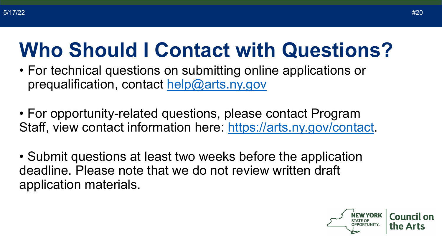# **Who Should I Contact with Questions?**

- For technical questions on submitting online applications or prequalification, contact [help@arts.ny.gov](mailto:help@arts.ny.gov)
- For opportunity-related questions, please contact Program Staff, view contact information here: [https://arts.ny.gov/contact.](https://arts.ny.gov/contact)
- Submit questions at least two weeks before the application deadline. Please note that we do not review written draft application materials.

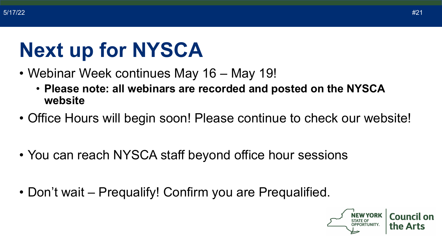# **Next up for NYSCA**

- Webinar Week continues May 16 May 19!
	- **Please note: all webinars are recorded and posted on the NYSCA website**
- Office Hours will begin soon! Please continue to check our website!
- You can reach NYSCA staff beyond office hour sessions
- Don't wait Prequalify! Confirm you are Prequalified.